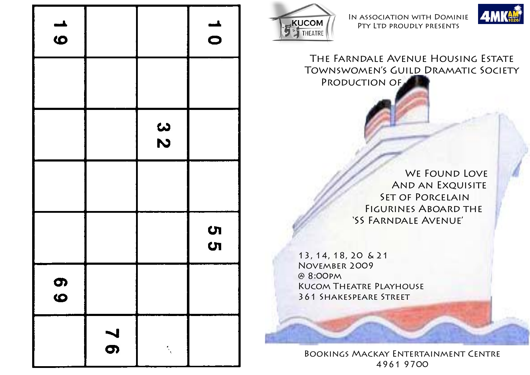| $\rightarrow$<br>$\ddot{\mathbf{o}}$ |               |        | $\rightarrow$<br>$\bullet$ |
|--------------------------------------|---------------|--------|----------------------------|
|                                      |               |        |                            |
|                                      |               | 32     |                            |
|                                      |               |        |                            |
|                                      |               |        | ហ<br>ហ                     |
| တ<br>$\boldsymbol{\omega}$           |               |        |                            |
|                                      | $\frac{7}{8}$ | s<br>N |                            |



In association with Dominie Pty Ltd proudly presents



The Farndale Avenue Housing Estate Townswomen's Guild Dramatic Society Production of

WE FOUND LOVE And an Exquisite SET OF PORCELAIN FIGURINES ABOARD THE 'SS Farndale Avenue'

 13, 14, 18, 20 & 21 November 2009 @ 8:00pm **KUCOM THEATRE PLAYHOUSE** 361 Shakespeare Street

> Bookings Mackay Entertainment Centre 4961 9700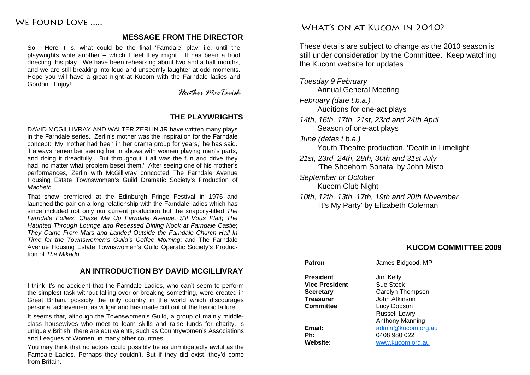# WE FOUND LOVE

## **MESSAGE FROM THE DIRECTOR**

So! Here it is, what could be the final 'Farndale' play, i.e. until the playwrights write another – which I feel they might. It has been a hoot directing this play. We have been rehearsing about two and a half months, and we are still breaking into loud and unseemly laughter at odd moments. Hope you will have a great night at Kucom with the Farndale ladies and Gordon. Enjoy!

*Heather MacTavish* 

## **THE PLAYWRIGHTS**

DAVID MCGILLIVRAY AND WALTER ZERLIN JR have written many plays in the Farndale series. Zerlin's mother was the inspiration for the Farndale concept: 'My mother had been in her drama group for years,' he has said. 'I always remember seeing her in shows with women playing men's parts, and doing it dreadfully. But throughout it all was the fun and drive they had, no matter what problem beset them.' After seeing one of his mother's performances, Zerlin with McGillivray concocted The Farndale Avenue Housing Estate Townswomen's Guild Dramatic Society's Production of *Macbeth*.

That show premiered at the Edinburgh Fringe Festival in 1976 and launched the pair on a long relationship with the Farndale ladies which has since included not only our current production but the snappily-titled *The Farndale Follies*, *Chase Me Up Farndale Avenue, S'il Vous Plait*; *The Haunted Through Lounge and Recessed Dining Nook at Farndale Castle*; *They Came From Mars and Landed Outside the Farndale Church Hall In Time for the Townswomen's Guild's Coffee Morning*; and The Farndale Avenue Housing Estate Townswomen's Guild Operatic Society's Production of *The Mikado*.

## **AN INTRODUCTION BY DAVID MCGILLIVRAY**

I think it's no accident that the Farndale Ladies, who can't seem to perform the simplest task without falling over or breaking something, were created in Great Britain, possibly the only country in the world which discourages personal achievement as vulgar and has made cult out of the heroic failure.

It seems that, although the Townswomen's Guild, a group of mainly middleclass housewives who meet to learn skills and raise funds for charity, is uniquely British, there are equivalents, such as Countrywomen's Associations and Leagues of Women, in many other countries.

You may think that no actors could possibly be as unmitigatedly awful as the Farndale Ladies. Perhaps they couldn't. But if they did exist, they'd come from Britain.

# WHAT'S ON AT KUCOM IN 2010?

These details are subject to change as the 2010 season is still under consideration by the Committee. Keep watching the Kucom website for updates

*Tuesday 9 February*  Annual General Meeting *February (date t.b.a.)*  Auditions for one-act plays *14th, 16th, 17th, 21st, 23rd and 24th April*  Season of one-act plays

*June (dates t.b.a.)* 

Youth Theatre production, 'Death in Limelight'

- *21st, 23rd, 24th, 28th, 30th and 31st July*  'The Shoehorn Sonata' by John Misto
- *September or October*  Kucom Club Night
- *10th, 12th, 13th, 17th, 19th and 20th November*  'It's My Party' by Elizabeth Coleman

## **KUCOM COMMITTEE 2009**

# **Patron James Bidgood, MP President** Jim Kelly **Vice President Secretary** Carolyn Thompson **Treasurer** John Atkinson **Committee Lucy Dobson Email:** admin@kucom.org.au

Sue Stock Russell Lowry Anthony Manning **Ph:** 0408 980 022 **Website:** www.kucom.org.au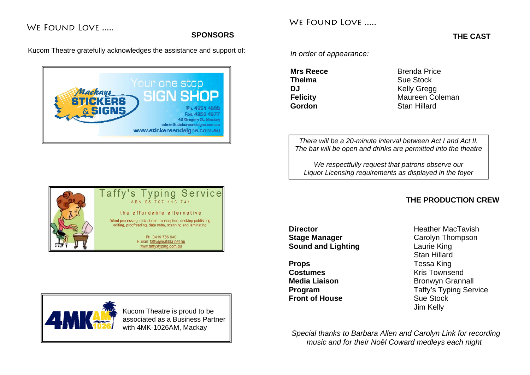# WE FOUND LOVE .....

### **SPONSORS**

Kucom Theatre gratefully acknowledges the assistance and support of:







*In order of appearance:* 

WE FOUND LOVE

**Mrs Reece** Brenda Price **Thelma** Sue Stock **DJ** Kelly Gregg **Felicity** Maureen Coleman **Gordon** Stan Hillard

*There will be a 20-minute interval between Act I and Act II. The bar will be open and drinks are permitted into the theatre* 

*We respectfully request that patrons observe our Liquor Licensing requirements as displayed in the foyer* 

## **THE PRODUCTION CREW**

**Director Heather MacTavish Stage Manager**  Carolyn Thompson **Sound and Lighting <b>Cound** Laurie King

**Props** Tessa King **Costumes** Kris Townsend **Front of House Sue Stock** 

 Stan Hillard **Media Liaison Bronwyn Grannall Program** Taffy's Typing Service Jim Kelly

*Special thanks to Barbara Allen and Carolyn Link for recording music and for their Noël Coward medleys each night*